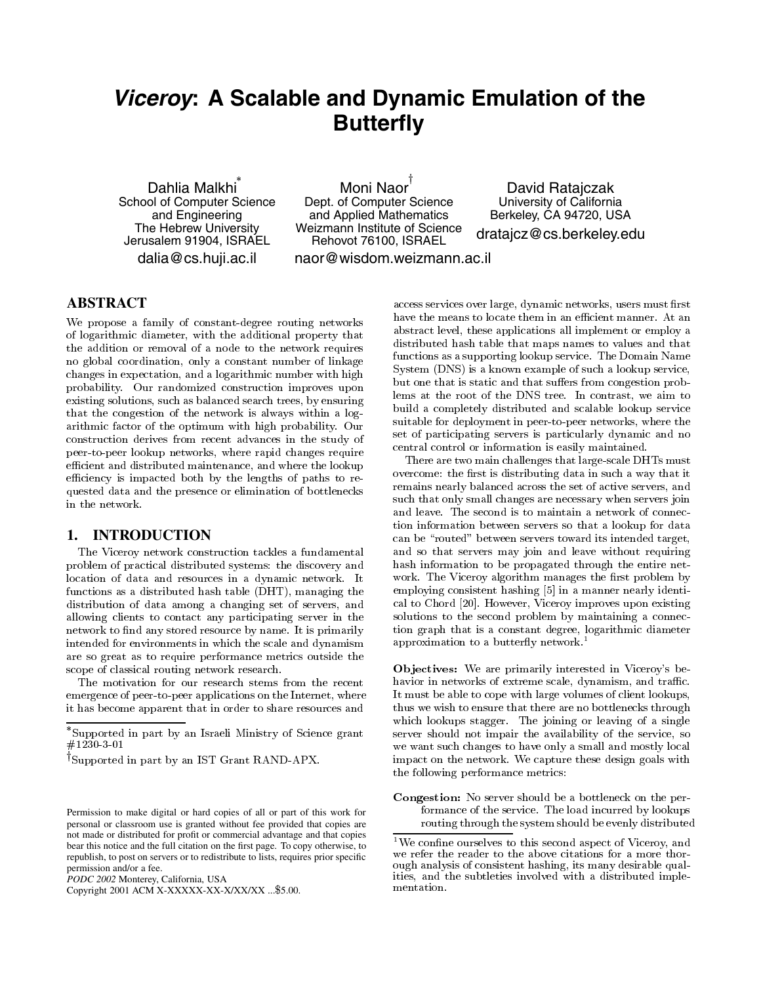# *Viceroy***: A Scalable and Dynamic Emulation of the Butterfly**

Dahlia Malkhi School of Computer Science and Engineering The Hebrew University Jerusalem 91904, ISRAEL dalia@cs.huji.ac.il

Moni Naor Dept. of Computer Science and Applied Mathematics Weizmann Institute of Science Rehovot 76100, ISRAEL naor@wisdom.weizmann.ac.il

David Ratajczak University of California Berkeley, CA 94720, USA

dratajcz@cs.berkeley.edu

## **ABSTRACT**

 --   --



 - 

  
 - 
 - -
 $\mathbf{M}$  . The contract of the contract of the contract of the contract of  $\mathbf{M}$  . The contract of the contract of the contract of the contract of the contract of the contract of the contract of the contract of the con   - construction derives from recent advances in the study of -- - 
 - 
 Æ 

 
 -Æ 
 - - 
in the network.

## **1. INTRODUCTION**

-    the contract of the contract of the contract of the contract of the contract of the contract of the contract of  
 "#\$% 

 distribution of data among a changing set of servers, and  $\blacksquare$  . The contract of the contract of the contract of the contract of the contract of the contract of the contract of the contract of the contract of the contract of the contract of the contract of the contract of the  $\mathbf{r}$  . The contract of the contract of the contract of the contract of the contract of the contract of the contract of the contract of the contract of the contract of the contract of the contract of the contract of th 
 -  -   

 

The motivation for our research stems from the recent  -- --  

 !

  -- 
 

Copyright 2001 ACM X-XXXXX-XX-X/XX/XX ... \$5.00.

example in distributed hash table that maps names to values and that  $\frac{1}{10}$  lems at the root of the DNS tree. In contrast, we aim to  $\lim_{h \to \infty} \lim_{h \to \infty}$  suitable for deployment in peer-to-peer networks, where the   
  
 & reconcerns to the contract of the contract of the contract of the contract of the contract of the contract of the contract of the contract of the contract of the contract of the contract of the contract of the contract of  
 -- 
 -  # 
 1  $\hbox{System (DNS)}$  is a known example of such a lookup service, 
  
 5 

 - - 
  -  -  - 
  
  
 and the contract of the contract of the contract of the contract of the contract of the contract of the contract of the contract of the contract of the contract of the contract of the contract of the contract of the contra

> overcome: the first is distributing data in such a way that it . A series of the series of the series of the series of the series of the series of the series of the series o 
>  
> 
>  
>  6 
> can be "routed" between servers toward its intended target, 6 
> 
>  - 
>  and the second contract of the second contract of the second contract of the second contract of the second contract of the second contract of the second contract of the second contract of the second contract of the second  $\mathbf{P} = \mathbf{P} \mathbf{P} = \mathbf{P} \mathbf{P}$  $\blacksquare$  . The set of the set of the set of the set of the set of the set of the set of the set of the set of the set of the set of the set of the set of the set of the set of the set of the set of the set of the set of the 
>  - 
> 
>  
> 
>  
> approximation to a butterny network.

 - - 
 > Æ, et al. et al. et al. et al. et al. et al. et al. et al. et al. et al. et al. et al. et al. et al. et al. et  $\mathbf{r}$  , and the contract of the contract of the contract of the contract of the contract of the contract of the contract of the contract of the contract of the contract of the contract of the contract of the contract o 
  - 6 
 -  
 - 
 - 

 - 

<sup>&</sup>quot;Supported in part by an Israeli Ministry of Science grant server sl  $\#1230-3-01$ 

<sup>&#</sup>x27;Supported in part by an IST Grant RAND-APX.

Permission to make digital or hard copies of all or part of this work for personal or classroom use is granted without fee provided that copies are not made or distributed for profit or commercial advantage and that copies bear this notice and the full citation on the first page. To copy otherwise, to republish, to post on servers or to redistribute to lists, requires prior specific permission and/or a fee.

*PODC 2002* Monterey, California, USA


 1  
 and the contract of the contract of the contract of the contract of the contract of the contract of the contract of the contract of the contract of the contract of the contract of the contract of the contract of the contra 

we confine ourselves to this second aspect of viceroy, and  $\sim$ we refer the reader to the above citations for a more thorи процесс в последните при представат на селото на селото на селото на селото на селото на селото на селото на en de la componentación de la componentación de la componentación de la componentación de la componentación de mentation.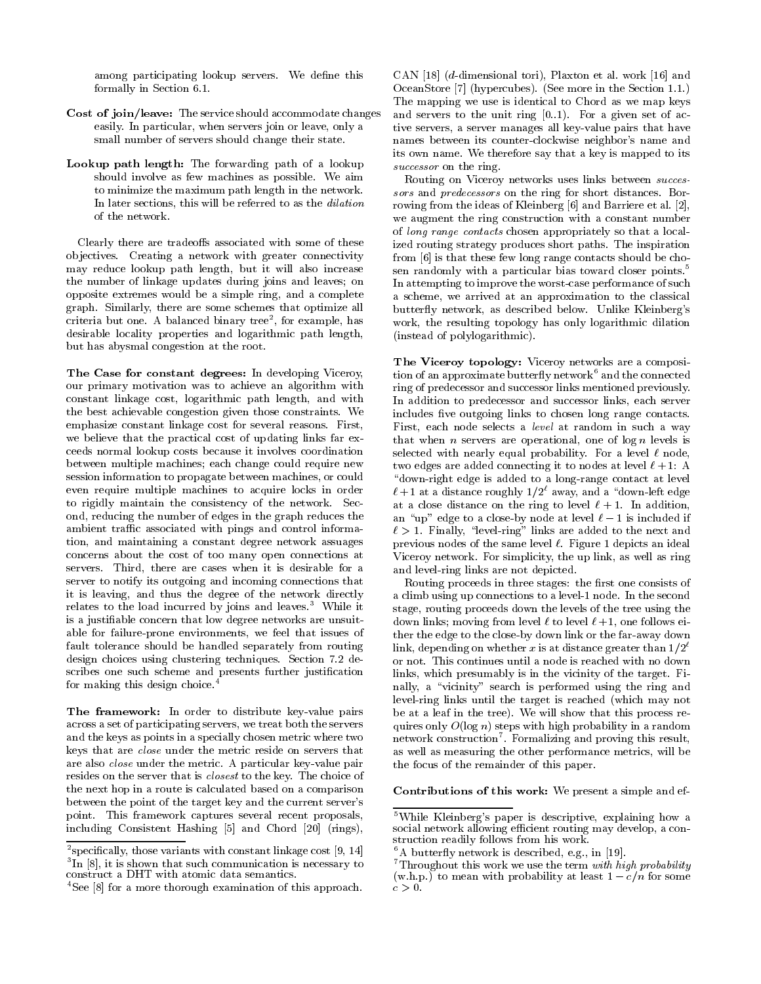among participating lookup servers. We define this formally in Section 6.1.

- Cost of join/leave: The service should accommodate changes easily. In particular, when servers join or leave, only a small number of servers should change their state.
- Lookup path length: The forwarding path of a lookup should involve as few machines as possible. We aim to minimize the maximum path length in the network. In later sections, this will be referred to as the dilation of the network.

Clearly there are tradeoffs associated with some of these objectives. Creating a network with greater connectivity may reduce lookup path length, but it will also increase the number of linkage updates during joins and leaves; on opposite extremes would be a simple ring, and a complete graph. Similarly, there are some schemes that optimize all criteria but one. A balanced binary tree<sup>2</sup>, for example, has desirable locality properties and logarithmic path length, but has abysmal congestion at the root.

The Case for constant degrees: In developing Viceroy, our primary motivation was to achieve an algorithm with constant linkage cost, logarithmic path length, and with the best achievable congestion given those constraints. We emphasize constant linkage cost for several reasons. First, we believe that the practical cost of updating links far exceeds normal lookup costs because it involves coordination between multiple machines; each change could require new session information to propagate between machines, or could even require multiple machines to acquire locks in order to rigidly maintain the consistency of the network. Second, reducing the number of edges in the graph reduces the ambient traffic associated with pings and control information, and maintaining a constant degree network assuages concerns about the cost of too many open connections at servers. Third, there are cases when it is desirable for a server to notify its outgoing and incoming connections that it is leaving, and thus the degree of the network directly relates to the load incurred by joins and leaves.<sup>3</sup> While it is a justifiable concern that low degree networks are unsuitable for failure-prone environments, we feel that issues of fault tolerance should be handled separately from routing design choices using clustering techniques. Section 7.2 describes one such scheme and presents further justification for making this design choice.<sup>4</sup>

The framework: In order to distribute key-value pairs across a set of participating servers, we treat both the servers and the keys as points in a specially chosen metric where two keys that are *close* under the metric reside on servers that are also close under the metric. A particular key-value pair resides on the server that is *closest* to the key. The choice of the next hop in a route is calculated based on a comparison between the point of the target key and the current server's point. This framework captures several recent proposals, including Consistent Hashing [5] and Chord [20] (rings),

CAN [18]  $(d$ -dimensional tori), Plaxton et al. work [16] and OceanStore [7] (hypercubes). (See more in the Section 1.1.) The mapping we use is identical to Chord as we map keys and servers to the unit ring  $[0..1)$ . For a given set of active servers, a server manages all key-value pairs that have names between its counter-clockwise neighbor's name and its own name. We therefore say that a key is mapped to its successor on the ring.

Routing on Viceroy networks uses links between successors and predecessors on the ring for short distances. Borrowing from the ideas of Kleinberg [6] and Barriere et al. [2], we augment the ring construction with a constant number of long range contacts chosen appropriately so that a localized routing strategy produces short paths. The inspiration from [6] is that these few long range contacts should be chosen randomly with a particular bias toward closer points.<sup>5</sup> In attempting to improve the worst-case performance of such a scheme, we arrived at an approximation to the classical butterfly network, as described below. Unlike Kleinberg's work, the resulting topology has only logarithmic dilation (instead of polylogarithmic).

The Viceroy topology: Viceroy networks are a composition of an approximate butterfly network<sup>6</sup> and the connected ring of predecessor and successor links mentioned previously. In addition to predecessor and successor links, each server includes five outgoing links to chosen long range contacts. First, each node selects a *level* at random in such a way that when *n* servers are operational, one of  $\log n$  levels is selected with nearly equal probability. For a level  $\ell$  node, two edges are added connecting it to nodes at level  $\ell + 1$ : A "down-right edge is added to a long-range contact at level  $\ell+1$  at a distance roughly  $1/2^{\ell}$  away, and a "down-left edge at a close distance on the ring to level  $\ell + 1$ . In addition, an "up" edge to a close-by node at level  $\ell - 1$  is included if  $\ell > 1$ . Finally, "level-ring" links are added to the next and previous nodes of the same level  $\ell$ . Figure 1 depicts an ideal Viceroy network. For simplicity, the up link, as well as ring and level-ring links are not depicted.

Routing proceeds in three stages: the first one consists of a climb using up connections to a level 1 node. In the second stage, routing proceeds down the levels of the tree using the down links; moving from level  $\ell$  to level  $\ell+1$ , one follows either the edge to the close-by down link or the far-away down link, depending on whether x is at distance greater than  $1/2^{\ell}$ or not. This continues until a node is reached with no down links, which presumably is in the vicinity of the target. Finally, a "vicinity" search is performed using the ring and level-ring links until the target is reached (which may not be at a leaf in the tree). We will show that this process requires only  $O(\log n)$  steps with high probability in a random network construction<sup>7</sup>. Formalizing and proving this result, as well as measuring the other performance metrics, will be the focus of the remainder of this paper.

Contributions of this work: We present a simple and ef-

<sup>&</sup>lt;sup>2</sup>specifically, those variants with constant linkage cost [9, 14]  ${}^{3}$ In [8], it is shown that such communication is necessary to construct a DHT with atomic data semantics.

<sup>&</sup>lt;sup>4</sup>See [8] for a more thorough examination of this approach.

<sup>&</sup>lt;sup>5</sup>While Kleinberg's paper is descriptive, explaining how a social network allowing efficient routing may develop, a construction readily follows from his work.

 ${}^6A$  butterfly network is described, e.g., in [19].

 $7$ Throughout this work we use the term with high probability (w.h.p.) to mean with probability at least  $1 - c/n$  for some  $c>0$ .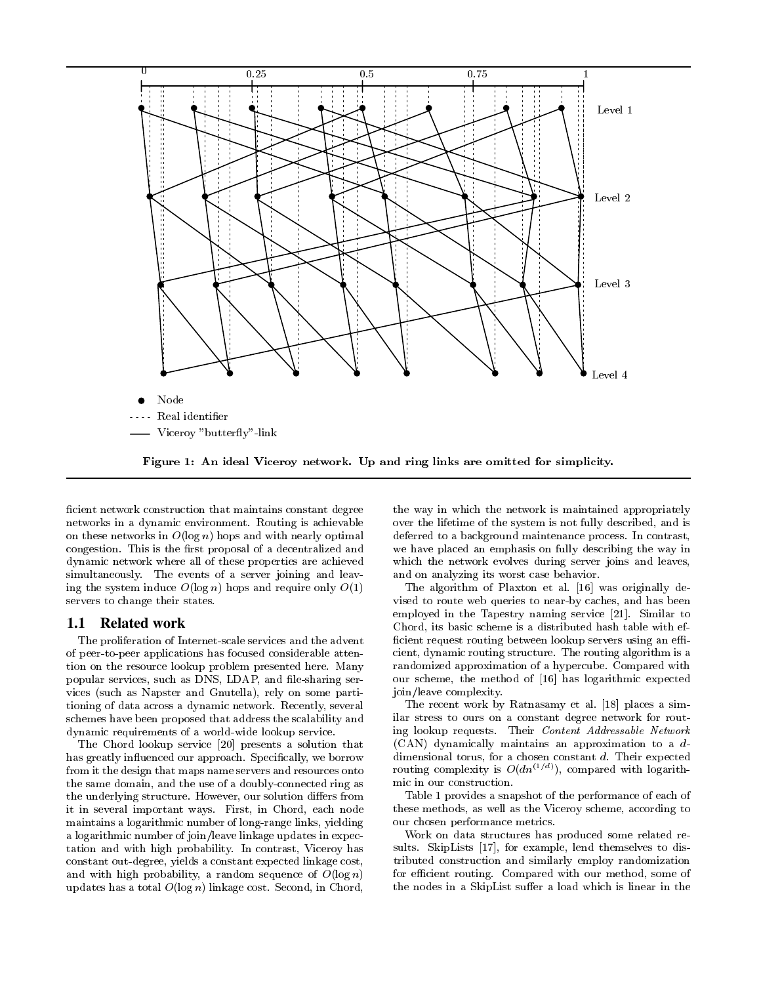

ficient network construction that maintains constant degree networks in a dynamic environment. Routing is achievable on these networks in  $O(\log n)$  hops and with nearly optimal congestion. This is the first proposal of a decentralized and dynamic network where all of these properties are achieved simultaneously. The events of a server joining and leaving the system induce  $O(\log n)$  hops and require only  $O(1)$ servers to change their states.

#### 1.1 **Related work**

The proliferation of Internet-scale services and the advent of peer-to-peer applications has focused considerable attention on the resource lookup problem presented here. Many popular services, such as DNS, LDAP, and file-sharing services (such as Napster and Gnutella), rely on some partitioning of data across a dynamic network. Recently, several schemes have been proposed that address the scalability and dynamic requirements of a world-wide lookup service.

The Chord lookup service [20] presents a solution that has greatly influenced our approach. Specifically, we borrow from it the design that maps name servers and resources onto the same domain, and the use of a doubly-connected ring as the underlying structure. However, our solution differs from it in several important ways. First, in Chord, each node maintains a logarithmic number of long-range links, yielding a logarithmic number of join/leave linkage updates in expectation and with high probability. In contrast, Viceroy has constant out-degree, yields a constant expected linkage cost, and with high probability, a random sequence of  $O(\log n)$ updates has a total  $O(\log n)$  linkage cost. Second, in Chord, the way in which the network is maintained appropriately over the lifetime of the system is not fully described, and is deferred to a background maintenance process. In contrast, we have placed an emphasis on fully describing the way in which the network evolves during server joins and leaves, and on analyzing its worst case behavior.

The algorithm of Plaxton et al. [16] was originally devised to route web queries to near-by caches, and has been employed in the Tapestry naming service [21]. Similar to Chord, its basic scheme is a distributed hash table with efficient request routing between lookup servers using an efficient, dynamic routing structure. The routing algorithm is a randomized approximation of a hypercube. Compared with our scheme, the method of [16] has logarithmic expected join/leave complexity.

The recent work by Ratnasamy et al. [18] places a similar stress to ours on a constant degree network for routing lookup requests. Their Content Addressable Network  $(CAN)$  dynamically maintains an approximation to a  $d$ dimensional torus, for a chosen constant  $d$ . Their expected routing complexity is  $O(dn^{(1/d)})$ , compared with logarithmic in our construction.

Table 1 provides a snapshot of the performance of each of these methods, as well as the Viceroy scheme, according to our chosen performance metrics.

Work on data structures has produced some related results. SkipLists [17], for example, lend themselves to distributed construction and similarly employ randomization for efficient routing. Compared with our method, some of the nodes in a SkipList suffer a load which is linear in the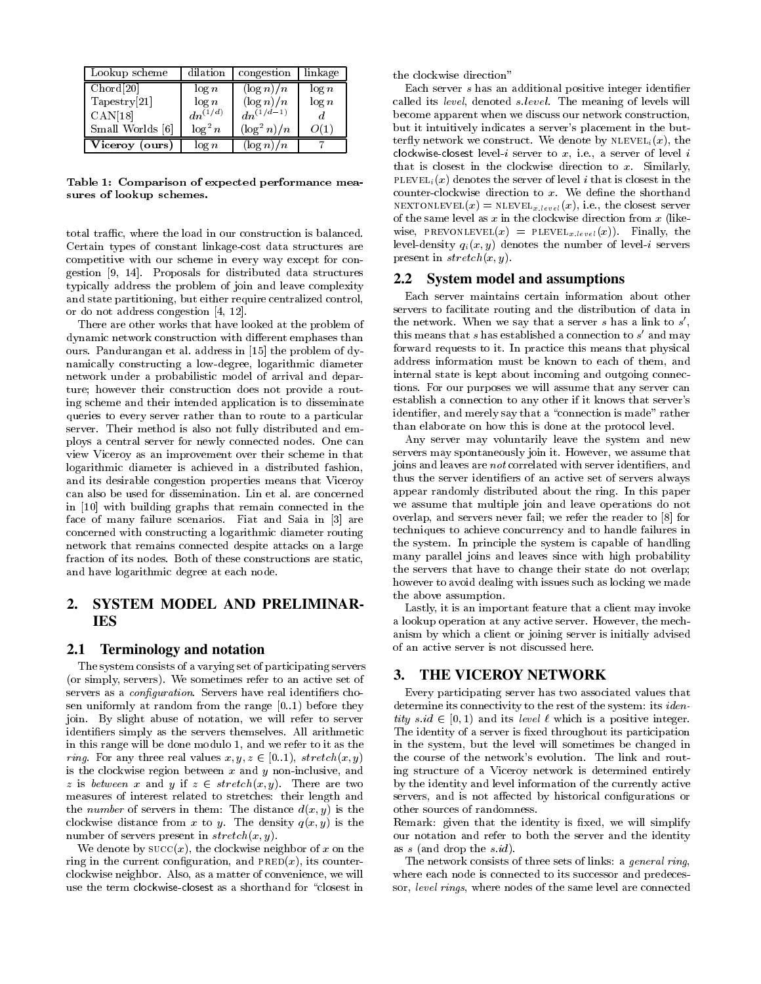| Lookup scheme    | dilation     | congestion     | linkage  |
|------------------|--------------|----------------|----------|
| Chord[20]        | $\log n$     | $(\log n)/n$   | $\log n$ |
| Tapestry [21]    | $\log n$     | $(\log n)/n$   | log n    |
| CAN[18]          | $dn^{(1/d)}$ | $dn^{(1/d-1)}$ |          |
| Small Worlds [6] | $\log^2 n$   | $(\log^2 n)/n$ | ) ( 1    |
| Viceroy (ours)   | $\log n$     | $(\log n)/n$   |          |

Table 1: Comparison of expected performance measures of lookup schemes.

total traffic, where the load in our construction is balanced. Certain types of constant linkage-cost data structures are competitive with our scheme in every way except for congestion [9, 14]. Proposals for distributed data structures typically address the problem of join and leave complexity and state partitioning, but either require centralized control, or do not address congestion [4, 12].

There are other works that have looked at the problem of dynamic network construction with different emphases than ours. Pandurangan et al. address in [15] the problem of dynamically constructing a low-degree, logarithmic diameter network under a probabilistic model of arrival and departure; however their construction does not provide a routing scheme and their intended application is to disseminate queries to every server rather than to route to a particular server. Their method is also not fully distributed and employs a central server for newly connected nodes. One can view Viceroy as an improvement over their scheme in that logarithmic diameter is achieved in a distributed fashion, and its desirable congestion properties means that Viceroy can also be used for dissemination. Lin et al. are concerned in [10] with building graphs that remain connected in the face of many failure scenarios. Fiat and Saia in [3] are concerned with constructing a logarithmic diameter routing network that remains connected despite attacks on a large fraction of its nodes. Both of these constructions are static, and have logarithmic degree at each node.

### $2.$ SYSTEM MODEL AND PRELIMINAR-**IES**

#### **Terminology and notation**  $2.1$

The system consists of a varying set of participating servers (or simply, servers). We sometimes refer to an active set of servers as a *configuration*. Servers have real identifiers chosen uniformly at random from the range  $[0..1)$  before they join. By slight abuse of notation, we will refer to server identifiers simply as the servers themselves. All arithmetic in this range will be done modulo 1, and we refer to it as the *ring.* For any three real values  $x, y, z \in [0..1)$ , stretch $(x, y)$ is the clockwise region between  $x$  and  $y$  non-inclusive, and z is between x and y if  $z \in stretch(x, y)$ . There are two measures of interest related to stretches: their length and the *number* of servers in them: The distance  $d(x, y)$  is the clockwise distance from x to y. The density  $q(x, y)$  is the number of servers present in  $stretch(x, y)$ .

We denote by  $succ(x)$ , the clockwise neighbor of x on the ring in the current configuration, and  $PRED(x)$ , its counterclockwise neighbor. Also, as a matter of convenience, we will use the term clockwise-closest as a shorthand for "closest in the clockwise direction"

Each server s has an additional positive integer identifier called its level, denoted slevel. The meaning of levels will become apparent when we discuss our network construction, but it intuitively indicates a server's placement in the butterfly network we construct. We denote by  $NLEVEL_i(x)$ , the clockwise-closest level-*i* server to  $x$ , i.e., a server of level  $i$ that is closest in the clockwise direction to  $x$ . Similarly, PLEVEL<sub>i</sub> $(x)$  denotes the server of level *i* that is closest in the counter-clockwise direction to  $x$ . We define the shorthand NEXTONLEVEL $(x)$  = NLEVEL<sub>x-level</sub> $(x)$ , i.e., the closest server of the same level as  $x$  in the clockwise direction from  $x$  (likewise, PREVONLEVEL $(x)$  = PLEVEL<sub>x, level</sub> $(x)$ ). Finally, the level-density  $q_i(x, y)$  denotes the number of level-i servers present in  $stretch(x, y)$ .

## 2.2 System model and assumptions

Each server maintains certain information about other servers to facilitate routing and the distribution of data in the network. When we say that a server  $s$  has a link to  $s'$ , this means that  $s$  has established a connection to  $s'$  and may forward requests to it. In practice this means that physical address information must be known to each of them, and internal state is kept about incoming and outgoing connections. For our purposes we will assume that any server can establish a connection to any other if it knows that server's identifier, and merely say that a "connection is made" rather than elaborate on how this is done at the protocol level.

Any server may voluntarily leave the system and new servers may spontaneously join it. However, we assume that joins and leaves are not correlated with server identifiers, and thus the server identifiers of an active set of servers always appear randomly distributed about the ring. In this paper we assume that multiple join and leave operations do not overlap, and servers never fail; we refer the reader to [8] for techniques to achieve concurrency and to handle failures in the system. In principle the system is capable of handling many parallel joins and leaves since with high probability the servers that have to change their state do not overlap; however to avoid dealing with issues such as locking we made the above assumption.

Lastly, it is an important feature that a client may invoke a lookup operation at any active server. However, the mechanism by which a client or joining server is initially advised of an active server is not discussed here.

## 3. THE VICEROY NETWORK

Every participating server has two associated values that determine its connectivity to the rest of the system: its *identity*  $s.id \in [0, 1)$  and its *level*  $\ell$  which is a positive integer. The identity of a server is fixed throughout its participation in the system, but the level will sometimes be changed in the course of the network's evolution. The link and routing structure of a Viceroy network is determined entirely by the identity and level information of the currently active servers, and is not affected by historical configurations or other sources of randomness.

Remark: given that the identity is fixed, we will simplify our notation and refer to both the server and the identity as  $s$  (and drop the  $s.id)$ .

The network consists of three sets of links: a general ring, where each node is connected to its successor and predecessor, level rings, where nodes of the same level are connected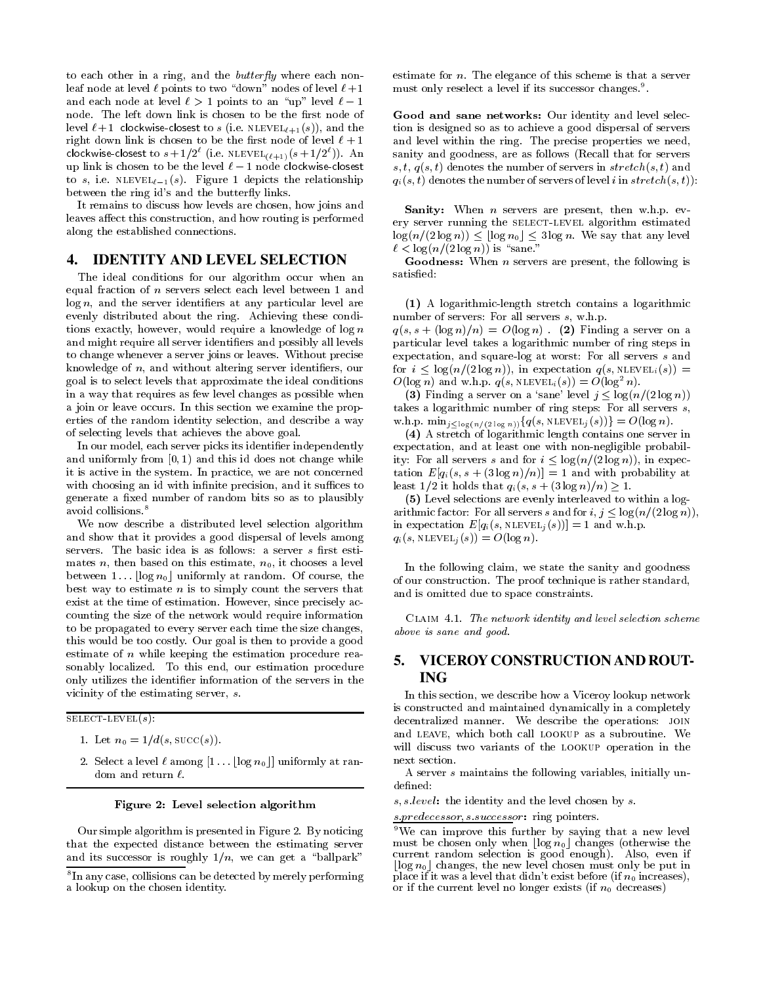to each other in a ring, and the *butterfly* where each nonleaf node at level  $\ell$  points to two "down" nodes of level  $\ell+1$ and each node at level  $\ell > 1$  points to an "up" level  $\ell - 1$ node. The left down link is chosen to be the first node of level  $\ell+1$  clockwise-closest to s (i.e. NLEVEL $_{\ell+1}(s)$ ), and the right down link is chosen to be the first node of level  $\ell + 1$ clockwise-closest to  $s + 1/2^{\ell}$  (i.e. NLEVEL $_{(\ell+1)}(s + 1/2^{\ell})$ ). An up link is chosen to be the level  $\ell - 1$  node clockwise-closest to s, i.e.  $NLEVEL_{\ell-1}(s)$ . Figure 1 depicts the relationship between the ring id's and the butterfly links.

It remains to discuss how levels are chosen, how joins and leaves affect this construction, and how routing is performed along the established connections.

### 4. **IDENTITY AND LEVEL SELECTION**

The ideal conditions for our algorithm occur when an equal fraction of  $n$  servers select each level between 1 and  $log n$ , and the server identifiers at any particular level are evenly distributed about the ring. Achieving these conditions exactly, however, would require a knowledge of  $\log n$ and might require all server identifiers and possibly all levels to change whenever a server joins or leaves. Without precise knowledge of  $n$ , and without altering server identifiers, our goal is to select levels that approximate the ideal conditions in a way that requires as few level changes as possible when a join or leave occurs. In this section we examine the properties of the random identity selection, and describe a way of selecting levels that achieves the above goal.

In our model, each server picks its identifier independently and uniformly from  $[0, 1)$  and this id does not change while it is active in the system. In practice, we are not concerned with choosing an id with infinite precision, and it suffices to generate a fixed number of random bits so as to plausibly avoid collisions.<sup>8</sup>

We now describe a distributed level selection algorithm and show that it provides a good dispersal of levels among servers. The basic idea is as follows: a server s first estimates n, then based on this estimate,  $n_0$ , it chooses a level between 1...  $\log n_0$  uniformly at random. Of course, the best way to estimate  $n$  is to simply count the servers that exist at the time of estimation. However, since precisely accounting the size of the network would require information to be propagated to every server each time the size changes, this would be too costly. Our goal is then to provide a good estimate of  $n$  while keeping the estimation procedure reasonably localized. To this end, our estimation procedure only utilizes the identifier information of the servers in the vicinity of the estimating server,  $s$ .

SELECT-LEVEL $(s)$ :

- 1. Let  $n_0 = 1/d(s, \text{succ}(s))$ .
- 2. Select a level  $\ell$  among  $[1 \dots \lfloor \log n_0 \rfloor]$  uniformly at random and return  $\ell$ .

### Figure 2: Level selection algorithm

Our simple algorithm is presented in Figure 2. By noticing that the expected distance between the estimating server and its successor is roughly  $1/n$ , we can get a "ballpark"

estimate for  $n$ . The elegance of this scheme is that a server must only reselect a level if its successor changes.<sup>9</sup>.

Good and sane networks: Our identity and level selection is designed so as to achieve a good dispersal of servers and level within the ring. The precise properties we need, sanity and goodness, are as follows (Recall that for servers s, t,  $q(s,t)$  denotes the number of servers in stretch(s, t) and  $q_i(s,t)$  denotes the number of servers of level i in stretch $(s,t)$ :

**Sanity:** When  $n$  servers are present, then w.h.p. every server running the SELECT-LEVEL algorithm estimated  $\log(n/(2 \log n)) \leq \lfloor \log n_0 \rfloor \leq 3 \log n$ . We say that any level  $\ell < \log(n/(2 \log n))$  is "sane."

**Goodness:** When  $n$  servers are present, the following is satisfied:

(1) A logarithmic-length stretch contains a logarithmic number of servers: For all servers  $s$ , w.h.p.

 $q(s, s + (\log n)/n) = O(\log n)$ . (2) Finding a server on a particular level takes a logarithmic number of ring steps in expectation, and square-log at worst: For all servers s and for  $i \leq \log(n/(2 \log n))$ , in expectation  $q(s, \text{NLEVEL}_i(s)) =$  $O(\log n)$  and w.h.p.  $q(s, \text{NLEVEL}_i(s)) = O(\log^2 n)$ .

(3) Finding a server on a 'sane' level  $j \leq \log(n/(2 \log n))$ takes a logarithmic number of ring steps: For all servers  $s$ , w.h.p.  $\min_{j \leq \log(n/(2 \log n))} \{q(s, \text{NLEVEL}_j(s))\} = O(\log n).$ 

(4) A stretch of logarithmic length contains one server in expectation, and at least one with non-negligible probability: For all servers s and for  $i \leq \log(n/(2 \log n))$ , in expectation  $E[q_i(s, s + (3 \log n)/n)] = 1$  and with probability at least  $1/2$  it holds that  $q_i(s, s + (3 \log n)/n) \geq 1$ .

(5) Level selections are evenly interleaved to within a logarithmic factor: For all servers s and for  $i, j \leq \log(n/(2 \log n))$ , in expectation  $E[q_i(s, \text{NLEVEL}_j(s))] = 1$  and w.h.p.  $q_i(s, \text{NLEVEL}_i(s)) = O(\log n).$ 

In the following claim, we state the sanity and goodness of our construction. The proof technique is rather standard, and is omitted due to space constraints.

CLAIM 4.1. The network identity and level selection scheme above is sane and good.

### 5. VICEROY CONSTRUCTION AND ROUT-**ING**

In this section, we describe how a Viceroy lookup network is constructed and maintained dynamically in a completely decentralized manner. We describe the operations: JOIN and LEAVE, which both call LOOKUP as a subroutine. We will discuss two variants of the LOOKUP operation in the next section.

A server s maintains the following variables, initially undefined:

 $s, s. level:$  the identity and the level chosen by  $s.$ 

<sup>&</sup>lt;sup>8</sup>In any case, collisions can be detected by merely performing a lookup on the chosen identity.

s predecessor s successor: ring pointers

<sup>&</sup>lt;sup>9</sup>We can improve this further by saying that a new level must be chosen only when  $\lfloor \log n_0 \rfloor$  changes (otherwise the current random selection is good enough). Also, even if  $\lfloor \log n_0 \rfloor$  changes, the new level chosen must only be put in place if it was a level that didn't exist before (if  $n_0$  increases), or if the current level no longer exists (if  $n_0$  decreases)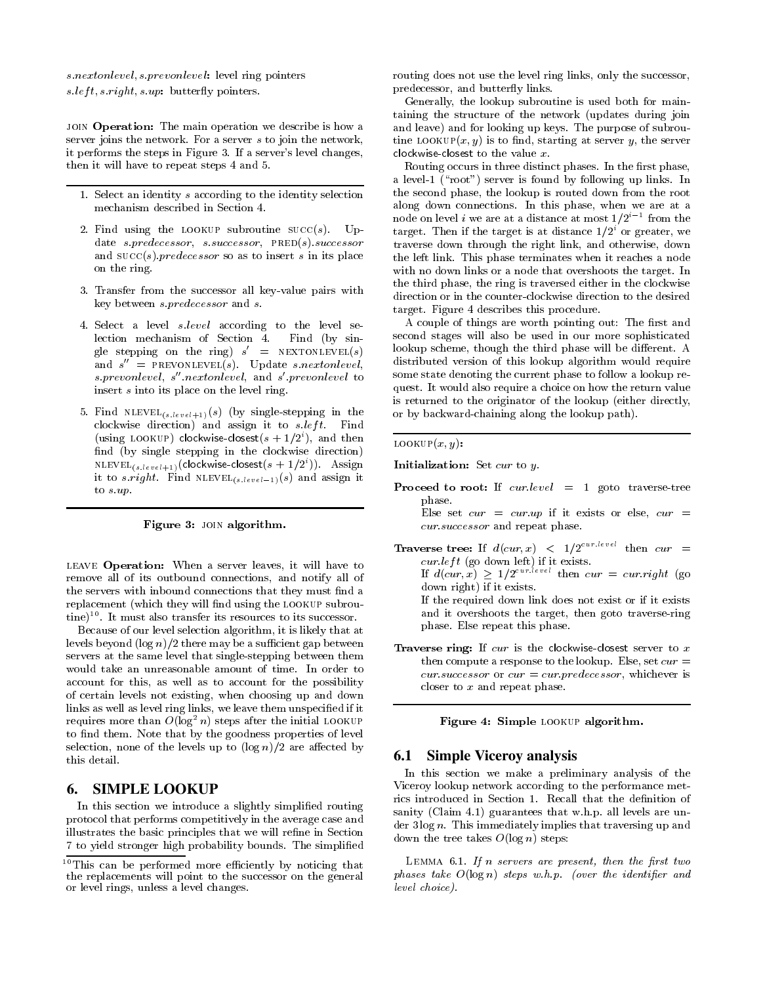s.nextonlevel, s.prevonlevel: level ring pointers  $s.left, s.right, s.up: butterfly points.$ 

JOIN Operation: The main operation we describe is how a server joins the network. For a server s to join the network, it performs the steps in Figure 3. If a server's level changes, then it will have to repeat steps 4 and 5.

- 1. Select an identity s according to the identity selection mechanism described in Section 4.
- 2. Find using the LOOKUP subroutine  $succ(s)$ . Update s.predecessor, s.successor,  $PRED(s)$ .successor and  $succ(s)$ , predecessor so as to insert s in its place on the ring.
- 3. Transfer from the successor all key value pairs with key between *s predecessor* and *s*.
- 4. Select a level s.level according to the level selection mechanism of Section 4. Find (by single stepping on the ring)  $s' = \text{NEXTONLEVEL}(s)$ and  $s'' = \text{PREVONLEVEL}(s)$ . Update s.nextonlevel, s prevonlevel, s" nextonlevel, and s' prevonlevel to insert s into its place on the level ring.
- 5. Find  $NLEVEL_{(s, level+1)}(s)$  (by single-stepping in the clockwise direction) and assign it to  $s.left$ . Find (using LOOKUP) clockwise-closest( $s + 1/2<sup>i</sup>$ ), and then find (by single stepping in the clockwise direction) NLEVEL<sub>(slevel+1)</sub>(clockwise-closest(s + 1/2<sup>i</sup>)). Assign it to s.right. Find  $NLEVEL_{(s.\text{level}-1)}(s)$  and assign it to  $s$  up.

### Figure 3: JOIN algorithm.

LEAVE Operation: When a server leaves, it will have to remove all of its outbound connections, and notify all of the servers with inbound connections that they must find a replacement (which they will find using the LOOKUP subroutine)<sup>10</sup>. It must also transfer its resources to its successor.

Because of our level selection algorithm, it is likely that at levels beyond  $(\log n)/2$  there may be a sufficient gap between servers at the same level that single-stepping between them would take an unreasonable amount of time. In order to account for this, as well as to account for the possibility of certain levels not existing, when choosing up and down links as well as level ring links, we leave them unspecified if it requires more than  $O(\log^2 n)$  steps after the initial LOOKUP to find them. Note that by the goodness properties of level selection, none of the levels up to  $(\log n)/2$  are affected by this detail.

### **SIMPLE LOOKUP** 6.

In this section we introduce a slightly simplified routing protocol that performs competitively in the average case and illustrates the basic principles that we will refine in Section 7 to yield stronger high probability bounds. The simplified routing does not use the level ring links, only the successor, predecessor, and butterfly links.

Generally, the lookup subroutine is used both for maintaining the structure of the network (updates during join and leave) and for looking up keys. The purpose of subroutine LOOKUP $(x, y)$  is to find, starting at server y, the server clockwise-closest to the value  $x$ .

Routing occurs in three distinct phases. In the first phase, a level 1 ("root") server is found by following up links. In the second phase, the lookup is routed down from the root along down connections. In this phase, when we are at a node on level *i* we are at a distance at most  $1/2^{i-1}$  from the target. Then if the target is at distance  $1/2<sup>i</sup>$  or greater, we traverse down through the right link, and otherwise, down the left link. This phase terminates when it reaches a node with no down links or a node that overshoots the target. In the third phase, the ring is traversed either in the clockwise direction or in the counter-clockwise direction to the desired target. Figure 4 describes this procedure.

A couple of things are worth pointing out: The first and second stages will also be used in our more sophisticated lookup scheme, though the third phase will be different. A distributed version of this lookup algorithm would require some state denoting the current phase to follow a lookup request. It would also require a choice on how the return value is returned to the originator of the lookup (either directly, or by backward-chaining along the lookup path).

LOOKUP $(x, y)$ :

Initialization: Set  $cur$  to  $y$ .

- **Proceed to root:** If  $curlevel = 1$  goto traverse-tree phase. Else set  $cur = curup$  if it exists or else,  $cur =$ *cur.successor* and repeat phase.
- **Traverse tree:** If  $d(cur, x) < 1/2^{cur, level}$  then  $cur =$  $cur.left$  (go down left) if it exists. If  $d(cur, x) \geq 1/2^{cur/level}$  then  $cur = cur.right$  (go down right) if it exists. If the required down link does not exist or if it exists

and it overshoots the target, then goto traverse-ring phase. Else repeat this phase.

**Traverse ring:** If  $cur$  is the clockwise-closest server to  $x$ then compute a response to the lookup. Else, set  $cur =$ cur.successor or  $cur = cur.predecessary$ , whichever is closer to  $x$  and repeat phase.

Figure 4: Simple LOOKUP algorithm.

## **6.1 Simple Vicerov analysis**

In this section we make a preliminary analysis of the Viceroy lookup network according to the performance metrics introduced in Section 1. Recall that the definition of sanity (Claim 4.1) guarantees that w.h.p. all levels are under  $3 \log n$ . This immediately implies that traversing up and down the tree takes  $O(\log n)$  steps:

LEMMA  $6.1$ . If n servers are present, then the first two phases take  $O(\log n)$  steps w.h.p. (over the identifier and level choice).

<sup>&</sup>lt;sup>10</sup>This can be performed more efficiently by noticing that the replacements will point to the successor on the general or level rings, unless a level changes.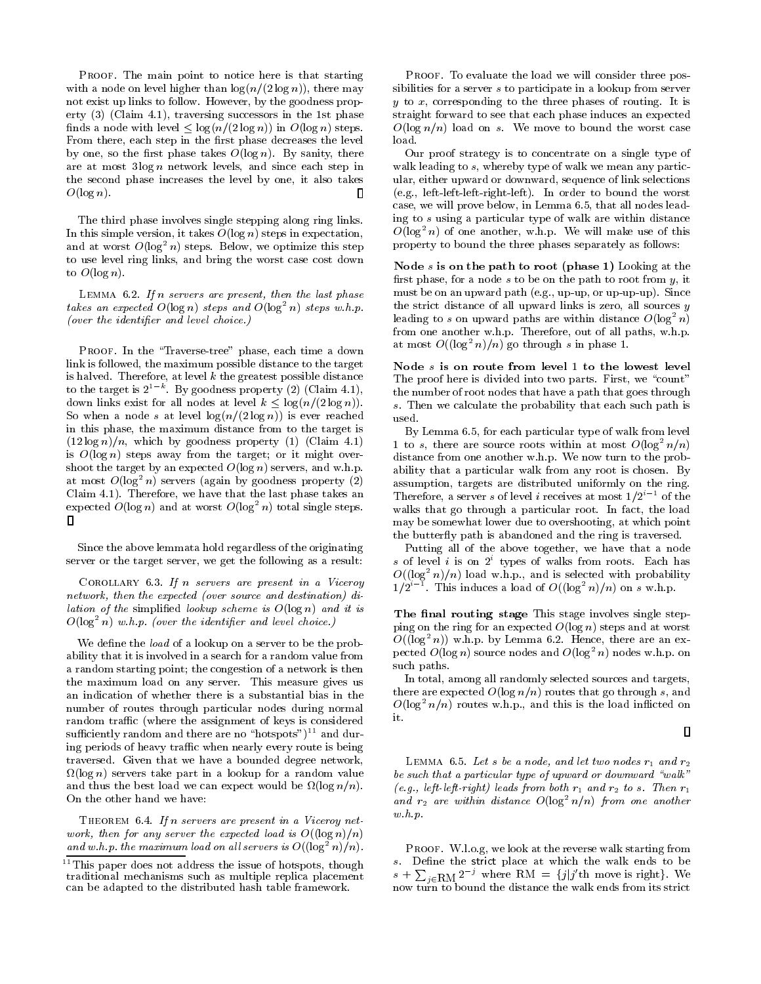PROOF. The main point to notice here is that starting with a node on level higher than  $\log(n/(2 \log n))$ , there may not exist up links to follow. However, by the goodness property  $(3)$  (Claim 4.1), traversing successors in the 1st phase finds a node with level  $\leq \log(n/(2 \log n))$  in  $O(\log n)$  steps. From there, each step in the first phase decreases the level by one, so the first phase takes  $O(\log n)$ . By sanity, there are at most  $3 \log n$  network levels, and since each step in the second phase increases the level by one, it also takes  $O(\log n)$ .  $\Box$ 

The third phase involves single stepping along ring links. In this simple version, it takes  $O(\log n)$  steps in expectation, and at worst  $O(\log^2 n)$  steps. Below, we optimize this step to use level ring links, and bring the worst case cost down to  $O(\log n)$ .

LEMMA  $6.2$ . If n servers are present, then the last phase takes an expected  $O(\log n)$  steps and  $O(\log^2 n)$  steps w.h.p. (over the identifier and level choice.)

PROOF. In the "Traverse-tree" phase, each time a down link is followed, the maximum possible distance to the target is halved. Therefore, at level  $k$  the greatest possible distance to the target is  $2^{1-k}$ . By goodness property (2) (Claim 4.1), down links exist for all nodes at level  $k \leq \log(n/(2 \log n))$ . So when a node s at level  $\log(n/(2 \log n))$  is ever reached in this phase, the maximum distance from to the target is  $(12 \log n)/n$ , which by goodness property (1) (Claim 4.1) is  $O(\log n)$  steps away from the target; or it might overshoot the target by an expected  $O(\log n)$  servers, and w.h.p. at most  $O(\log^2 n)$  servers (again by goodness property (2) Claim 4.1). Therefore, we have that the last phase takes an expected  $O(\log n)$  and at worst  $O(\log^2 n)$  total single steps.  $\Box$ 

Since the above lemmata hold regardless of the originating server or the target server, we get the following as a result:

COROLLARY  $6.3$ . If n servers are present in a Viceroy network, then the expected (over source and destination) di*lation of the simplified lookup scheme is*  $O(\log n)$  *and it is*  $O(\log^2 n)$  w.h.p. (over the identifier and level choice.)

We define the *load* of a lookup on a server to be the probability that it is involved in a search for a random value from a random starting point; the congestion of a network is then the maximum load on any server. This measure gives us an indication of whether there is a substantial bias in the number of routes through particular nodes during normal random traffic (where the assignment of keys is considered sufficiently random and there are no "hotspots")<sup>11</sup> and during periods of heavy traffic when nearly every route is being traversed. Given that we have a bounded degree network,  $\Omega(\log n)$  servers take part in a lookup for a random value and thus the best load we can expect would be  $\Omega(\log n/n)$ . On the other hand we have:

THEOREM 6.4. If n servers are present in a Viceroy network, then for any server the expected load is  $O((\log n)/n)$ and w.h.p. the maximum load on all servers is  $O((\log^2 n)/n)$ .

PROOF. To evaluate the load we will consider three possibilities for a server s to participate in a lookup from server  $y$  to  $x$ , corresponding to the three phases of routing. It is straight forward to see that each phase induces an expected  $O(\log n/n)$  load on s. We move to bound the worst case load.

Our proof strategy is to concentrate on a single type of walk leading to  $s$ , whereby type of walk we mean any particular, either upward or downward, sequence of link selections (e.g., left-left-left-right-left). In order to bound the worst case, we will prove below, in Lemma 6.5, that all nodes leading to s using a particular type of walk are within distance  $O(\log^2 n)$  of one another, w.h.p. We will make use of this property to bound the three phases separately as follows:

Node s is on the path to root (phase 1) Looking at the first phase, for a node  $s$  to be on the path to root from  $y$ , it must be on an upward path (e.g., up-up, or up-up-up). Since the strict distance of all upward links is zero, all sources  $y$ leading to s on upward paths are within distance  $O(\log^2 n)$ from one another w.h.p. Therefore, out of all paths, w.h.p. at most  $O((\log^2 n)/n)$  go through s in phase 1.

Node s is on route from level 1 to the lowest level The proof here is divided into two parts. First, we "count" the number of root nodes that have a path that goes through s. Then we calculate the probability that each such path is used.

By Lemma 6.5, for each particular type of walk from level 1 to s, there are source roots within at most  $O(\log^2 n/n)$ distance from one another w.h.p. We now turn to the probability that a particular walk from any root is chosen. By assumption, targets are distributed uniformly on the ring. Therefore, a server s of level i receives at most  $1/2^{i-1}$  of the walks that go through a particular root. In fact, the load may be somewhat lower due to overshooting, at which point the butterfly path is abandoned and the ring is traversed.

Putting all of the above together, we have that a node s of level i is on  $2^i$  types of walks from roots. Each has  $O((\log^2 n)/n)$  load w.h.p., and is selected with probability  $1/2^{i-1}$ . This induces a load of  $O((\log^2 n)/n)$  on s w.h.p.

The final routing stage This stage involves single stepping on the ring for an expected  $O(\log n)$  steps and at worst  $O((\log^2 n))$  w.h.p. by Lemma 6.2. Hence, there are an expected  $O(\log n)$  source nodes and  $O(\log^2 n)$  nodes w.h.p. on such paths.

In total, among all randomly selected sources and targets, there are expected  $O(\log n/n)$  routes that go through s, and  $O(\log^2 n/n)$  routes w.h.p., and this is the load inflicted on it.

$$
\mathsf{I} \mathsf{I}
$$

LEMMA 6.5. Let s be a node, and let two nodes  $r_1$  and  $r_2$ be such that a particular type of upward or downward "walk" (e.g., left-left-right) leads from both  $r_1$  and  $r_2$  to s. Then  $r_1$ and  $r_2$  are within distance  $O(\log^2 n/n)$  from one another  $w.h.p.$ 

PROOF. W.l.o.g, we look at the reverse walk starting from s. Define the strict place at which the walk ends to be<br>  $s + \sum_{j \in \text{RM}} 2^{-j}$  where RM =  $\{j | j'$ th move is right}. We now turn to bound the distance the walk ends from its strict

 $11$ This paper does not address the issue of hotspots, though traditional mechanisms such as multiple replica placement can be adapted to the distributed hash table framework.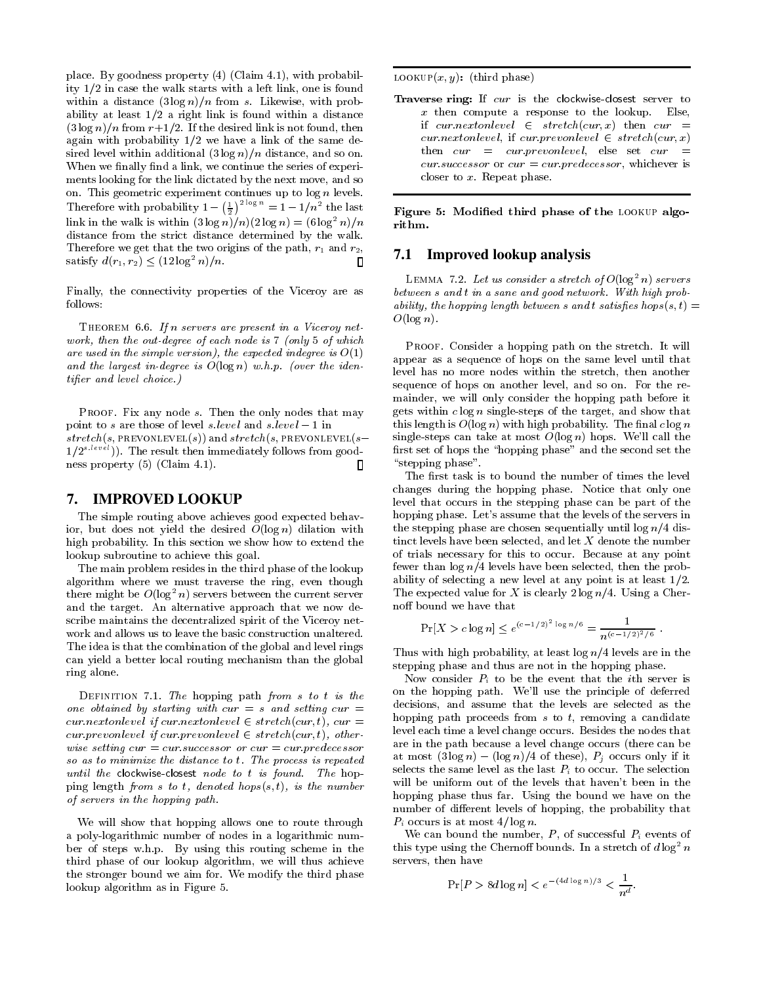place. By goodness property (4) (Claim 4.1), with probability 1/2 in case the walk starts with a left link, one is found within a distance  $(3 \log n)/n$  from s. Likewise, with probability at least  $1/2$  a right link is found within a distance  $(3 \log n)/n$  from  $r+1/2$ . If the desired link is not found, then again with probability  $1/2$  we have a link of the same desired level within additional  $(3 \log n)/n$  distance, and so on. When we finally find a link, we continue the series of experiments looking for the link dictated by the next move, and so on. This geometric experiment continues up to  $\log n$  levels. Therefore with probability  $1 - (\frac{1}{2})^{2 \log n} = 1 - 1/n^2$  the last link in the walk is within  $(3 \log n)/n$  $(2 \log n) = (6 \log^2 n)/n$ distance from the strict distance determined by the walk. Therefore we get that the two origins of the path,  $r_1$  and  $r_2$ , satisfy  $d(r_1, r_2) \le (12 \log^2 n)/n$ . Л

Finally, the connectivity properties of the Viceroy are as follows:

THEOREM 6.6. If n servers are present in a Viceroy network, then the out-degree of each node is 7 (only 5 of which are used in the simple version), the expected indegree is  $O(1)$ and the largest in degree is  $O(\log n)$  w.h.p. (over the iden*tifier* and level choice.)

PROOF. Fix any node s. Then the only nodes that may point to s are those of level s level and s level  $-1$  in  $stretch(s, PREVONLEVEL(s))$  and  $stretch(s, PREVONLEVEL(s 1/2^{s.\textit{level}}$ ). The result then immediately follows from goodness property  $(5)$  (Claim 4.1). П

#### **IMPROVED LOOKUP** 7.

The simple routing above achieves good expected behavior, but does not yield the desired  $O(\log n)$  dilation with high probability. In this section we show how to extend the lookup subroutine to achieve this goal.

The main problem resides in the third phase of the lookup algorithm where we must traverse the ring, even though there might be  $O(\log^2 n)$  servers between the current server and the target. An alternative approach that we now describe maintains the decentralized spirit of the Viceroy network and allows us to leave the basic construction unaltered. The idea is that the combination of the global and level rings can yield a better local routing mechanism than the global ring alone.

DEFINITION 7.1. The hopping path from  $s$  to  $t$  is the one obtained by starting with cur = s and setting cur = cur.nextonlevel if cur.nextonlevel  $\in$  stretch(cur, t), cur = cur prevonlevel if cur prevonlevel  $\in$  stretch(cur, t), otherwise setting  $cur = cur$  successor or  $cur = cur$  predecessor so as to minimize the distance to t. The process is repeated until the clockwise-closest node to t is found. The hopping length from s to t, denoted hops $(s, t)$ , is the number of servers in the hopping path.

We will show that hopping allows one to route through a poly-logarithmic number of nodes in a logarithmic number of steps w.h.p. By using this routing scheme in the third phase of our lookup algorithm, we will thus achieve the stronger bound we aim for. We modify the third phase lookup algorithm as in Figure 5.

LOOKUP $(x, y)$ : (third phase)

Traverse ring: If cur is the clockwise-closest server to  $x$  then compute a response to the lookup. Else, if cur.nextonlevel  $\in$  stretch(cur, x) then cur =  $cur.next on level$ , if  $cur.prevon level \in stretch(cur, x)$ then  $cur = cur.$  prevonlevel, else set  $cur =$ cur.successor or cur = cur.predecessor, whichever is closer to  $x$ . Repeat phase.

Figure 5: Modified third phase of the LOOKUP algorithm.

## 7.1 Improved lookup analysis

LEMMA 7.2. Let us consider a stretch of  $O(\log^2 n)$  servers between s and t in a sane and good network. With high probability, the hopping length between s and t satisfies hops(s, t) =  $O(\log n)$ .

PROOF. Consider a hopping path on the stretch. It will appear as a sequence of hops on the same level until that level has no more nodes within the stretch, then another sequence of hops on another level, and so on. For the remainder, we will only consider the hopping path before it gets within  $c \log n$  single-steps of the target, and show that this length is  $O(\log n)$  with high probability. The final  $c \log n$ single-steps can take at most  $O(\log n)$  hops. We'll call the first set of hops the "hopping phase" and the second set the "stepping phase".

The first task is to bound the number of times the level changes during the hopping phase. Notice that only one level that occurs in the stepping phase can be part of the hopping phase. Let's assume that the levels of the servers in the stepping phase are chosen sequentially until  $\log n/4$  distinct levels have been selected, and let  $X$  denote the number of trials necessary for this to occur. Because at any point fewer than  $\log n/4$  levels have been selected, then the probability of selecting a new level at any point is at least  $1/2$ . The expected value for X is clearly  $2 \log n/4$ . Using a Chernoff bound we have that

$$
\Pr[X > c \log n] \le e^{(c-1/2)^2 \log n/6} = \frac{1}{n^{(c-1/2)^2/6}}.
$$

Thus with high probability, at least  $\log n/4$  levels are in the stepping phase and thus are not in the hopping phase.

Now consider  $P_i$  to be the event that the *i*th server is on the hopping path. We'll use the principle of deferred decisions, and assume that the levels are selected as the hopping path proceeds from  $s$  to  $t$ , removing a candidate level each time a level change occurs. Besides the nodes that are in the path because a level change occurs (there can be at most  $(3 \log n) - (\log n)/4$  of these),  $P_i$  occurs only if it selects the same level as the last  $P_i$  to occur. The selection will be uniform out of the levels that haven't been in the hopping phase thus far. Using the bound we have on the number of different levels of hopping, the probability that  $P_i$  occurs is at most 4/  $\log n$ .

We can bound the number,  $P$ , of successful  $P_i$  events of this type using the Chernoff bounds. In a stretch of  $d \log^2 n$ servers, then have

$$
\Pr[P > 8d \log n] < e^{-(4d \log n)/3} < \frac{1}{n^d}.
$$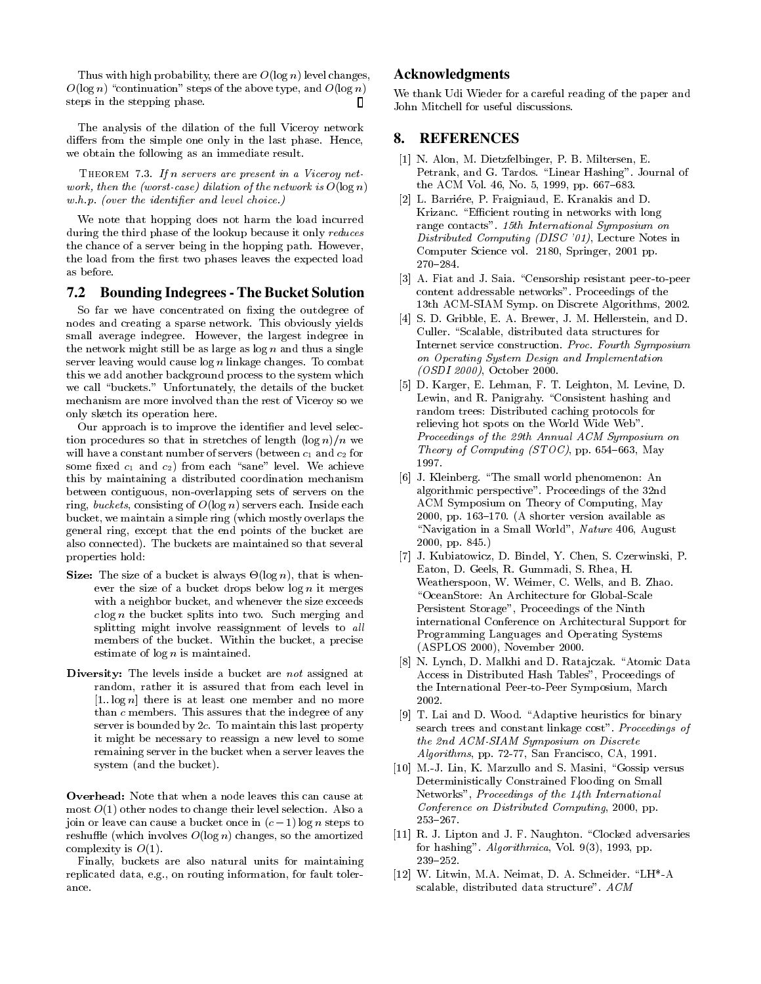Thus with high probability, there are  $O(\log n)$  level changes,  $O(\log n)$  "continuation" steps of the above type, and  $O(\log n)$ steps in the stepping phase. Л

The analysis of the dilation of the full Viceroy network differs from the simple one only in the last phase. Hence, we obtain the following as an immediate result.

THEOREM 7.3. If n servers are present in a Viceroy network, then the (worst-case) dilation of the network is  $O(\log n)$  $w.h.p.$  (over the identifier and level choice.)

We note that hopping does not harm the load incurred during the third phase of the lookup because it only reduces the chance of a server being in the hopping path. However, the load from the first two phases leaves the expected load as before.

#### 7.2 **Bounding Indegrees - The Bucket Solution**

So far we have concentrated on fixing the outdegree of nodes and creating a sparse network. This obviously yields small average indegree. However, the largest indegree in the network might still be as large as  $log n$  and thus a single server leaving would cause  $\log n$  linkage changes. To combat this we add another background process to the system which we call "buckets." Unfortunately, the details of the bucket mechanism are more involved than the rest of Viceroy so we only sketch its operation here.

Our approach is to improve the identifier and level selection procedures so that in stretches of length  $(\log n)/n$  we will have a constant number of servers (between  $c_1$  and  $c_2$  for some fixed  $c_1$  and  $c_2$ ) from each "sane" level. We achieve this by maintaining a distributed coordination mechanism between contiguous, non-overlapping sets of servers on the ring, buckets, consisting of  $O(\log n)$  servers each. Inside each bucket, we maintain a simple ring (which mostly overlaps the general ring, except that the end points of the bucket are also connected). The buckets are maintained so that several properties hold:

- **Size:** The size of a bucket is always  $\Theta(\log n)$ , that is whenever the size of a bucket drops below  $\log n$  it merges with a neighbor bucket, and whenever the size exceeds  $c \log n$  the bucket splits into two. Such merging and splitting might involve reassignment of levels to all members of the bucket. Within the bucket, a precise estimate of  $log n$  is maintained.
- Diversity: The levels inside a bucket are not assigned at random, rather it is assured that from each level in  $[1..\log n]$  there is at least one member and no more than c members. This assures that the indegree of any server is bounded by 2c. To maintain this last property it might be necessary to reassign a new level to some remaining server in the bucket when a server leaves the system (and the bucket).

Overhead: Note that when a node leaves this can cause at most  $O(1)$  other nodes to change their level selection. Also a join or leave can cause a bucket once in  $(c-1)$  log *n* steps to reshuffle (which involves  $O(\log n)$  changes, so the amortized complexity is  $O(1)$ .

Finally, buckets are also natural units for maintaining replicated data, e.g., on routing information, for fault tolerance.

## **Acknowledgments**

We thank Udi Wieder for a careful reading of the paper and John Mitchell for useful discussions.

#### 8. **REFERENCES**

- [1] N. Alon, M. Dietzfelbinger, P. B. Miltersen, E. Petrank, and G. Tardos. "Linear Hashing". Journal of the ACM Vol. 46, No. 5, 1999, pp. 667-683.
- [2] L. Barriére, P. Fraigniaud, E. Kranakis and D. Krizanc. "Efficient routing in networks with long range contacts". 15th International Symposium on Distributed Computing (DISC '01), Lecture Notes in Computer Science vol. 2180, Springer, 2001 pp.  $270 - 284.$
- [3] A. Fiat and J. Saia. "Censorship resistant peer-to-peer content addressable networks". Proceedings of the 13th ACM-SIAM Symp. on Discrete Algorithms, 2002.
- [4] S. D. Gribble, E. A. Brewer, J. M. Hellerstein, and D. Culler. "Scalable, distributed data structures for Internet service construction. Proc. Fourth Symposium on Operating System Design and Implementation (OSDI 2000), October 2000.
- [5] D. Karger, E. Lehman, F. T. Leighton, M. Levine, D. Lewin, and R. Panigrahy. "Consistent hashing and random trees: Distributed caching protocols for relieving hot spots on the World Wide Web". Proceedings of the 29th Annual ACM Symposium on Theory of Computing (STOC), pp. 654-663, May 1997.
- [6] J. Kleinberg. "The small world phenomenon: An algorithmic perspective". Proceedings of the 32nd ACM Symposium on Theory of Computing, May 2000, pp. 163-170. (A shorter version available as "Navigation in a Small World", Nature 406, August 2000, pp. 845.)
- [7] J. Kubiatowicz, D. Bindel, Y. Chen, S. Czerwinski, P. Eaton, D. Geels, R. Gummadi, S. Rhea, H. Weatherspoon, W. Weimer, C. Wells, and B. Zhao. "OceanStore: An Architecture for Global-Scale Persistent Storage", Proceedings of the Ninth international Conference on Architectural Support for Programming Languages and Operating Systems (ASPLOS 2000), November 2000.
- [8] N. Lynch, D. Malkhi and D. Ratajczak. "Atomic Data Access in Distributed Hash Tables", Proceedings of the International Peer-to-Peer Symposium, March 2002.
- [9] T. Lai and D. Wood. "Adaptive heuristics for binary search trees and constant linkage cost". Proceedings of the 2nd ACM-SIAM Symposium on Discrete *Algorithms*, pp. 72-77, San Francisco, CA, 1991.
- [10] M.-J. Lin. K. Marzullo and S. Masini. "Gossip versus Deterministically Constrained Flooding on Small Networks", Proceedings of the 14th International Conference on Distributed Computing, 2000, pp.  $253 - 267.$
- [11] R. J. Lipton and J. F. Naughton. "Clocked adversaries for hashing". Algorithmica, Vol. 9(3), 1993, pp.  $239 - 252.$
- [12] W. Litwin, M.A. Neimat, D. A. Schneider. "LH\*-A scalable, distributed data structure". ACM